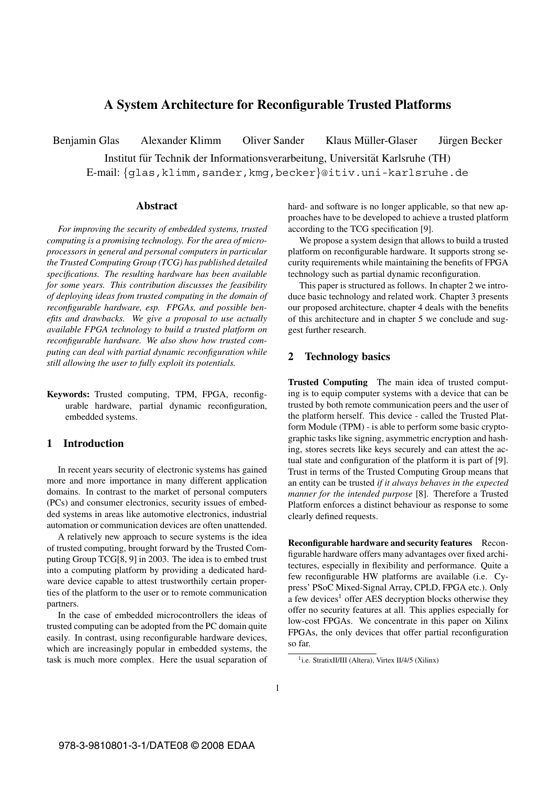# **A System Architecture for Reconfigurable Trusted Platforms**

Benjamin Glas Alexander Klimm Oliver Sander Klaus Müller-Glaser Jürgen Becker Institut für Technik der Informationsverarbeitung, Universität Karlsruhe (TH) E-mail: *{*glas,klimm,sander,kmg,becker*}*@itiv.uni-karlsruhe.de

#### **Abstract**

*For improving the security of embedded systems, trusted computing is a promising technology. For the area of microprocessors in general and personal computers in particular the Trusted Computing Group (TCG) has published detailed specifications. The resulting hardware has been available for some years. This contribution discusses the feasibility of deploying ideas from trusted computing in the domain of reconfigurable hardware, esp. FPGAs, and possible benefits and drawbacks. We give a proposal to use actually available FPGA technology to build a trusted platform on reconfigurable hardware. We also show how trusted computing can deal with partial dynamic reconfiguration while still allowing the user to fully exploit its potentials.*

**Keywords:** Trusted computing, TPM, FPGA, reconfigurable hardware, partial dynamic reconfiguration, embedded systems.

## **1 Introduction**

In recent years security of electronic systems has gained more and more importance in many different application domains. In contrast to the market of personal computers (PCs) and consumer electronics, security issues of embedded systems in areas like automotive electronics, industrial automation or communication devices are often unattended.

A relatively new approach to secure systems is the idea of trusted computing, brought forward by the Trusted Computing Group TCG[8, 9] in 2003. The idea is to embed trust into a computing platform by providing a dedicated hardware device capable to attest trustworthily certain properties of the platform to the user or to remote communication partners.

In the case of embedded microcontrollers the ideas of trusted computing can be adopted from the PC domain quite easily. In contrast, using reconfigurable hardware devices, which are increasingly popular in embedded systems, the task is much more complex. Here the usual separation of hard- and software is no longer applicable, so that new approaches have to be developed to achieve a trusted platform according to the TCG specification [9].

We propose a system design that allows to build a trusted platform on reconfigurable hardware. It supports strong security requirements while maintaining the benefits of FPGA technology such as partial dynamic reconfiguration.

This paper is structured as follows. In chapter 2 we introduce basic technology and related work. Chapter 3 presents our proposed architecture, chapter 4 deals with the benefits of this architecture and in chapter 5 we conclude and suggest further research.

## **2 Technology basics**

**Trusted Computing** The main idea of trusted computing is to equip computer systems with a device that can be trusted by both remote communication peers and the user of the platform herself. This device - called the Trusted Platform Module (TPM) - is able to perform some basic cryptographic tasks like signing, asymmetric encryption and hashing, stores secrets like keys securely and can attest the actual state and configuration of the platform it is part of [9]. Trust in terms of the Trusted Computing Group means that an entity can be trusted *if it always behaves in the expected manner for the intended purpose* [8]. Therefore a Trusted Platform enforces a distinct behaviour as response to some clearly defined requests.

**Reconfigurable hardware and security features** Reconfigurable hardware offers many advantages over fixed architectures, especially in flexibility and performance. Quite a few reconfigurable HW platforms are available (i.e. Cypress' PSoC Mixed-Signal Array, CPLD, FPGA etc.). Only a few devices<sup>1</sup> offer AES decryption blocks otherwise they offer no security features at all. This applies especially for low-cost FPGAs. We concentrate in this paper on Xilinx FPGAs, the only devices that offer partial reconfiguration so far.

<sup>&</sup>lt;sup>1</sup>i.e. StratixII/III (Altera), Virtex II/4/5 (Xilinx)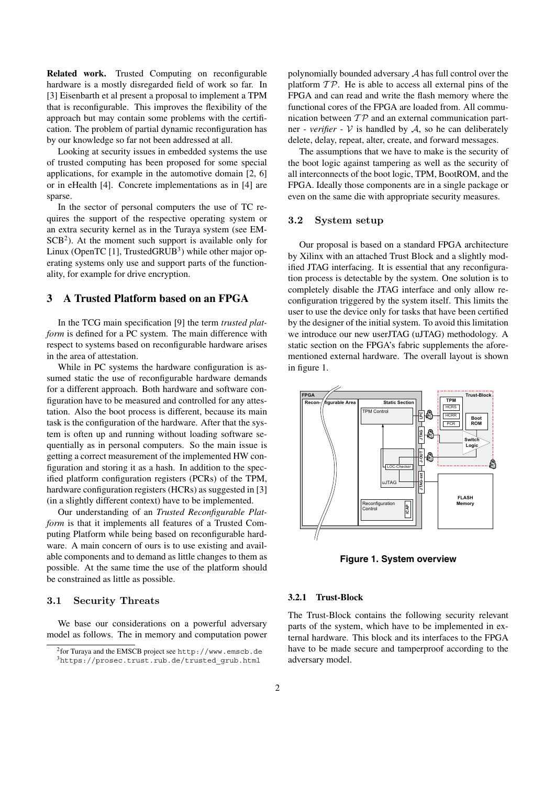**Related work.** Trusted Computing on reconfigurable hardware is a mostly disregarded field of work so far. In [3] Eisenbarth et al present a proposal to implement a TPM that is reconfigurable. This improves the flexibility of the approach but may contain some problems with the certification. The problem of partial dynamic reconfiguration has by our knowledge so far not been addressed at all.

Looking at security issues in embedded systems the use of trusted computing has been proposed for some special applications, for example in the automotive domain [2, 6] or in eHealth [4]. Concrete implementations as in [4] are sparse.

In the sector of personal computers the use of TC requires the support of the respective operating system or an extra security kernel as in the Turaya system (see EM- $SCB<sup>2</sup>$ ). At the moment such support is available only for Linux (OpenTC [1], TrustedGRUB<sup>3</sup>) while other major operating systems only use and support parts of the functionality, for example for drive encryption.

### **3 A Trusted Platform based on an FPGA**

In the TCG main specification [9] the term *trusted platform* is defined for a PC system. The main difference with respect to systems based on reconfigurable hardware arises in the area of attestation.

While in PC systems the hardware configuration is assumed static the use of reconfigurable hardware demands for a different approach. Both hardware and software configuration have to be measured and controlled for any attestation. Also the boot process is different, because its main task is the configuration of the hardware. After that the system is often up and running without loading software sequentially as in personal computers. So the main issue is getting a correct measurement of the implemented HW configuration and storing it as a hash. In addition to the specified platform configuration registers (PCRs) of the TPM, hardware configuration registers (HCRs) as suggested in [3] (in a slightly different context) have to be implemented.

Our understanding of an *Trusted Reconfigurable Platform* is that it implements all features of a Trusted Computing Platform while being based on reconfigurable hardware. A main concern of ours is to use existing and available components and to demand as little changes to them as possible. At the same time the use of the platform should be constrained as little as possible.

#### **3.1 Security Threats**

We base our considerations on a powerful adversary model as follows. The in memory and computation power polynomially bounded adversary *A* has full control over the platform  $\mathcal{TP}$ . He is able to access all external pins of the FPGA and can read and write the flash memory where the functional cores of the FPGA are loaded from. All communication between *T P* and an external communication partner - *verifier* -  $V$  is handled by  $A$ , so he can deliberately delete, delay, repeat, alter, create, and forward messages.

The assumptions that we have to make is the security of the boot logic against tampering as well as the security of all interconnects of the boot logic, TPM, BootROM, and the FPGA. Ideally those components are in a single package or even on the same die with appropriate security measures.

## **3.2 System setup**

Our proposal is based on a standard FPGA architecture by Xilinx with an attached Trust Block and a slightly modified JTAG interfacing. It is essential that any reconfiguration process is detectable by the system. One solution is to completely disable the JTAG interface and only allow reconfiguration triggered by the system itself. This limits the user to use the device only for tasks that have been certified by the designer of the initial system. To avoid this limitation we introduce our new userJTAG (uJTAG) methodology. A static section on the FPGA's fabric supplements the aforementioned external hardware. The overall layout is shown in figure 1.



**Figure 1. System overview**

#### **3.2.1 Trust-Block**

The Trust-Block contains the following security relevant parts of the system, which have to be implemented in external hardware. This block and its interfaces to the FPGA have to be made secure and tamperproof according to the adversary model.

<sup>2</sup>for Turaya and the EMSCB project see http://www.emscb.de <sup>3</sup>https://prosec.trust.rub.de/trusted\_grub.html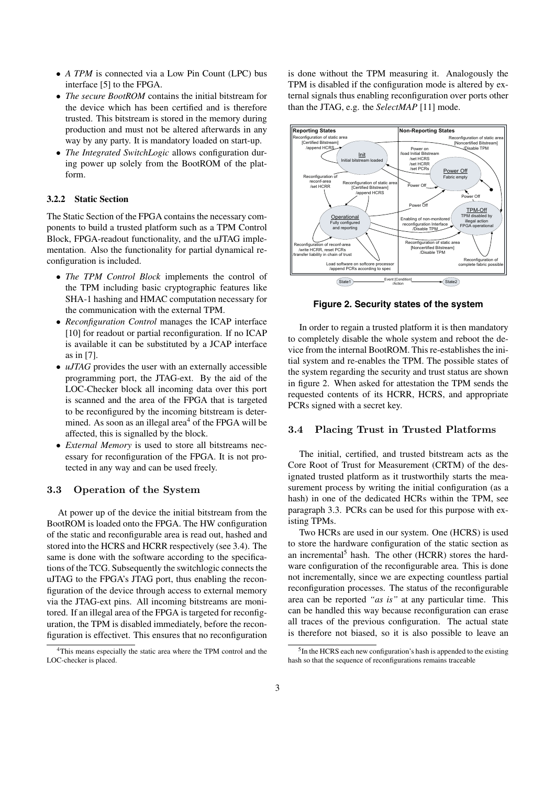- *A TPM* is connected via a Low Pin Count (LPC) bus interface [5] to the FPGA.
- *• The secure BootROM* contains the initial bitstream for the device which has been certified and is therefore trusted. This bitstream is stored in the memory during production and must not be altered afterwards in any way by any party. It is mandatory loaded on start-up.
- *• The Integrated SwitchLogic* allows configuration during power up solely from the BootROM of the platform.

## **3.2.2 Static Section**

The Static Section of the FPGA contains the necessary components to build a trusted platform such as a TPM Control Block, FPGA-readout functionality, and the uJTAG implementation. Also the functionality for partial dynamical reconfiguration is included.

- *• The TPM Control Block* implements the control of the TPM including basic cryptographic features like SHA-1 hashing and HMAC computation necessary for the communication with the external TPM.
- *• Reconfiguration Control* manages the ICAP interface [10] for readout or partial reconfiguration. If no ICAP is available it can be substituted by a JCAP interface as in [7].
- *• uJTAG* provides the user with an externally accessible programming port, the JTAG-ext. By the aid of the LOC-Checker block all incoming data over this port is scanned and the area of the FPGA that is targeted to be reconfigured by the incoming bitstream is determined. As soon as an illegal area<sup>4</sup> of the FPGA will be affected, this is signalled by the block.
- *• External Memory* is used to store all bitstreams necessary for reconfiguration of the FPGA. It is not protected in any way and can be used freely.

#### **3.3 Operation of the System**

At power up of the device the initial bitstream from the BootROM is loaded onto the FPGA. The HW configuration of the static and reconfigurable area is read out, hashed and stored into the HCRS and HCRR respectively (see 3.4). The same is done with the software according to the specifications of the TCG. Subsequently the switchlogic connects the uJTAG to the FPGA's JTAG port, thus enabling the reconfiguration of the device through access to external memory via the JTAG-ext pins. All incoming bitstreams are monitored. If an illegal area of the FPGA is targeted for reconfiguration, the TPM is disabled immediately, before the reconfiguration is effectivet. This ensures that no reconfiguration is done without the TPM measuring it. Analogously the TPM is disabled if the configuration mode is altered by external signals thus enabling reconfiguration over ports other than the JTAG, e.g. the *SelectMAP* [11] mode.



**Figure 2. Security states of the system**

In order to regain a trusted platform it is then mandatory to completely disable the whole system and reboot the device from the internal BootROM. This re-establishes the initial system and re-enables the TPM. The possible states of the system regarding the security and trust status are shown in figure 2. When asked for attestation the TPM sends the requested contents of its HCRR, HCRS, and appropriate PCRs signed with a secret key.

### **3.4 Placing Trust in Trusted Platforms**

The initial, certified, and trusted bitstream acts as the Core Root of Trust for Measurement (CRTM) of the designated trusted platform as it trustworthily starts the measurement process by writing the initial configuration (as a hash) in one of the dedicated HCRs within the TPM, see paragraph 3.3. PCRs can be used for this purpose with existing TPMs.

Two HCRs are used in our system. One (HCRS) is used to store the hardware configuration of the static section as an incremental<sup>5</sup> hash. The other (HCRR) stores the hardware configuration of the reconfigurable area. This is done not incrementally, since we are expecting countless partial reconfiguration processes. The status of the reconfigurable area can be reported *"as is"* at any particular time. This can be handled this way because reconfiguration can erase all traces of the previous configuration. The actual state is therefore not biased, so it is also possible to leave an

<sup>4</sup>This means especially the static area where the TPM control and the LOC-checker is placed.

<sup>&</sup>lt;sup>5</sup>In the HCRS each new configuration's hash is appended to the existing hash so that the sequence of reconfigurations remains traceable